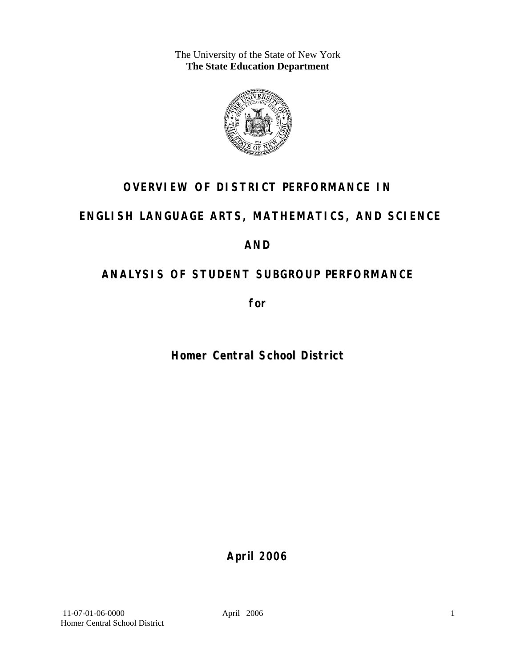The University of the State of New York **The State Education Department** 



## **OVERVIEW OF DISTRICT PERFORMANCE IN**

## **ENGLISH LANGUAGE ARTS, MATHEMATICS, AND SCIENCE**

### **AND**

## **ANALYSIS OF STUDENT SUBGROUP PERFORMANCE**

**for** 

**Homer Central School District**

**April 2006**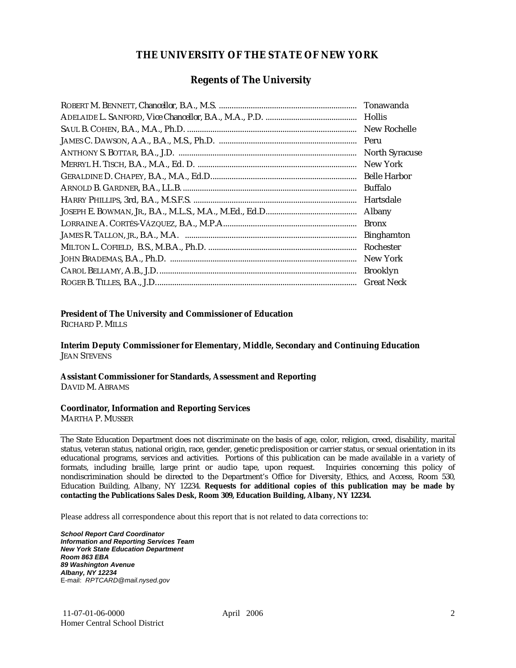#### **THE UNIVERSITY OF THE STATE OF NEW YORK**

#### **Regents of The University**

| Hollis                |
|-----------------------|
| New Rochelle          |
|                       |
| <b>North Syracuse</b> |
| New York              |
|                       |
| Buffalo               |
| Hartsdale             |
| Albany                |
| <b>Bronx</b>          |
| <b>Binghamton</b>     |
| Rochester             |
| New York              |
| <b>Brooklyn</b>       |
| <b>Great Neck</b>     |

#### **President of The University and Commissioner of Education**

RICHARD P. MILLS

**Interim Deputy Commissioner for Elementary, Middle, Secondary and Continuing Education**  JEAN STEVENS

#### **Assistant Commissioner for Standards, Assessment and Reporting**  DAVID M. ABRAMS

#### **Coordinator, Information and Reporting Services**

MARTHA P. MUSSER

The State Education Department does not discriminate on the basis of age, color, religion, creed, disability, marital status, veteran status, national origin, race, gender, genetic predisposition or carrier status, or sexual orientation in its educational programs, services and activities. Portions of this publication can be made available in a variety of formats, including braille, large print or audio tape, upon request. Inquiries concerning this policy of nondiscrimination should be directed to the Department's Office for Diversity, Ethics, and Access, Room 530, Education Building, Albany, NY 12234. **Requests for additional copies of this publication may be made by contacting the Publications Sales Desk, Room 309, Education Building, Albany, NY 12234.** 

Please address all correspondence about this report that is not related to data corrections to:

*School Report Card Coordinator Information and Reporting Services Team New York State Education Department Room 863 EBA 89 Washington Avenue Albany, NY 12234*  E-mail: *RPTCARD@mail.nysed.gov*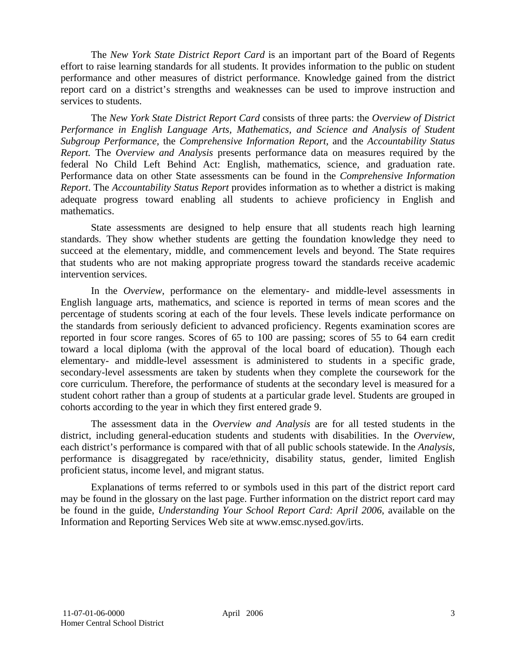The *New York State District Report Card* is an important part of the Board of Regents effort to raise learning standards for all students. It provides information to the public on student performance and other measures of district performance. Knowledge gained from the district report card on a district's strengths and weaknesses can be used to improve instruction and services to students.

The *New York State District Report Card* consists of three parts: the *Overview of District Performance in English Language Arts, Mathematics, and Science and Analysis of Student Subgroup Performance,* the *Comprehensive Information Report,* and the *Accountability Status Report.* The *Overview and Analysis* presents performance data on measures required by the federal No Child Left Behind Act: English, mathematics, science, and graduation rate. Performance data on other State assessments can be found in the *Comprehensive Information Report*. The *Accountability Status Report* provides information as to whether a district is making adequate progress toward enabling all students to achieve proficiency in English and mathematics.

State assessments are designed to help ensure that all students reach high learning standards. They show whether students are getting the foundation knowledge they need to succeed at the elementary, middle, and commencement levels and beyond. The State requires that students who are not making appropriate progress toward the standards receive academic intervention services.

In the *Overview*, performance on the elementary- and middle-level assessments in English language arts, mathematics, and science is reported in terms of mean scores and the percentage of students scoring at each of the four levels. These levels indicate performance on the standards from seriously deficient to advanced proficiency. Regents examination scores are reported in four score ranges. Scores of 65 to 100 are passing; scores of 55 to 64 earn credit toward a local diploma (with the approval of the local board of education). Though each elementary- and middle-level assessment is administered to students in a specific grade, secondary-level assessments are taken by students when they complete the coursework for the core curriculum. Therefore, the performance of students at the secondary level is measured for a student cohort rather than a group of students at a particular grade level. Students are grouped in cohorts according to the year in which they first entered grade 9.

The assessment data in the *Overview and Analysis* are for all tested students in the district, including general-education students and students with disabilities. In the *Overview*, each district's performance is compared with that of all public schools statewide. In the *Analysis*, performance is disaggregated by race/ethnicity, disability status, gender, limited English proficient status, income level, and migrant status.

Explanations of terms referred to or symbols used in this part of the district report card may be found in the glossary on the last page. Further information on the district report card may be found in the guide, *Understanding Your School Report Card: April 2006*, available on the Information and Reporting Services Web site at www.emsc.nysed.gov/irts.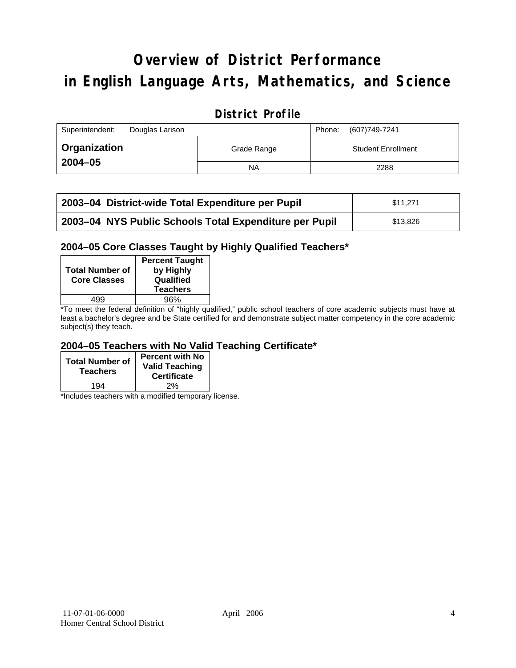# **Overview of District Performance in English Language Arts, Mathematics, and Science**

### **District Profile**

| Superintendent: | Douglas Larison |             | Phone: | (607)749-7241             |
|-----------------|-----------------|-------------|--------|---------------------------|
| Organization    |                 | Grade Range |        | <b>Student Enrollment</b> |
| $2004 - 05$     |                 | NA          |        | 2288                      |

| 2003–04 District-wide Total Expenditure per Pupil      | \$11.271 |
|--------------------------------------------------------|----------|
| 2003-04 NYS Public Schools Total Expenditure per Pupil | \$13,826 |

#### **2004–05 Core Classes Taught by Highly Qualified Teachers\***

| <b>Total Number of</b><br><b>Core Classes</b> | <b>Percent Taught</b><br>by Highly<br>Qualified<br><b>Teachers</b> |
|-----------------------------------------------|--------------------------------------------------------------------|
| 499                                           | 96%                                                                |
| $\cdot$ $\cdot$ $\cdot$                       | $\cdots$                                                           |

\*To meet the federal definition of "highly qualified," public school teachers of core academic subjects must have at least a bachelor's degree and be State certified for and demonstrate subject matter competency in the core academic subject(s) they teach.

#### **2004–05 Teachers with No Valid Teaching Certificate\***

| <b>Total Number of</b><br><b>Teachers</b> | Percent with No<br><b>Valid Teaching</b><br><b>Certificate</b> |
|-------------------------------------------|----------------------------------------------------------------|
| 194                                       | 2%                                                             |

\*Includes teachers with a modified temporary license.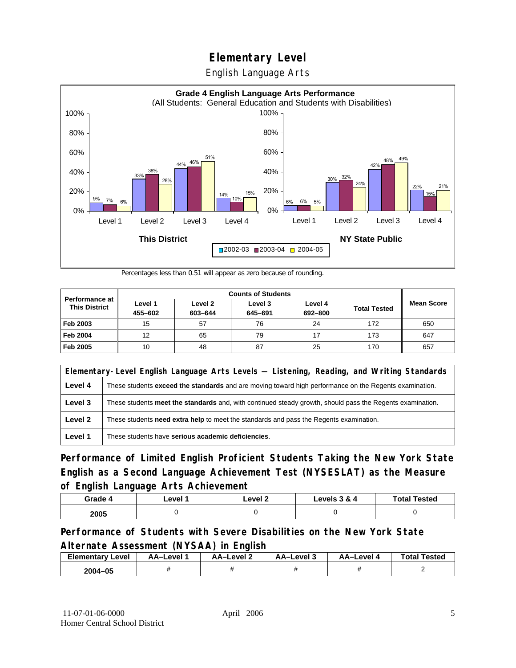English Language Arts



Percentages less than 0.51 will appear as zero because of rounding.

|                                               | <b>Counts of Students</b> |         |         |         |                     |                   |  |
|-----------------------------------------------|---------------------------|---------|---------|---------|---------------------|-------------------|--|
| <b>Performance at</b><br><b>This District</b> | Level 1                   | Level 2 | Level 3 | Level 4 | <b>Total Tested</b> | <b>Mean Score</b> |  |
|                                               | 455-602                   | 603-644 | 645-691 | 692-800 |                     |                   |  |
| Feb 2003                                      | 15                        | 57      | 76      | 24      | 172                 | 650               |  |
| <b>Feb 2004</b>                               | 12                        | 65      | 79      | 17      | 173                 | 647               |  |
| Feb 2005                                      | 10                        | 48      | 87      | 25      | 170                 | 657               |  |

|         | Elementary-Level English Language Arts Levels — Listening, Reading, and Writing Standards                     |  |  |  |  |
|---------|---------------------------------------------------------------------------------------------------------------|--|--|--|--|
| Level 4 | These students <b>exceed the standards</b> and are moving toward high performance on the Regents examination. |  |  |  |  |
| Level 3 | These students meet the standards and, with continued steady growth, should pass the Regents examination.     |  |  |  |  |
| Level 2 | These students <b>need extra help</b> to meet the standards and pass the Regents examination.                 |  |  |  |  |
| Level 1 | These students have serious academic deficiencies.                                                            |  |  |  |  |

**Performance of Limited English Proficient Students Taking the New York State English as a Second Language Achievement Test (NYSESLAT) as the Measure of English Language Arts Achievement**

| Grade 4 | _evel · | Level 2 | Levels 3 & 4 | <b>Total Tested</b> |
|---------|---------|---------|--------------|---------------------|
| 2005    |         |         |              |                     |

### **Performance of Students with Severe Disabilities on the New York State Alternate Assessment (NYSAA) in English**

| <b>Elementary Level</b> | AA-Level | AA-Level 2 | AA-Level 3 | AA–Level | <b>Total Tested</b> |
|-------------------------|----------|------------|------------|----------|---------------------|
| 2004-05                 |          |            |            |          |                     |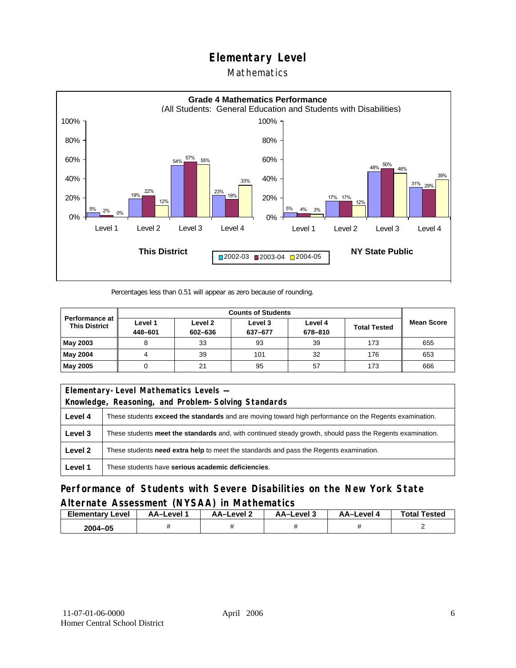### Mathematics



Percentages less than 0.51 will appear as zero because of rounding.

|                                               |                    |                    | <b>Counts of Students</b> |                    |                     |                   |
|-----------------------------------------------|--------------------|--------------------|---------------------------|--------------------|---------------------|-------------------|
| <b>Performance at</b><br><b>This District</b> | Level 1<br>448-601 | Level 2<br>602-636 | Level 3<br>637-677        | Level 4<br>678-810 | <b>Total Tested</b> | <b>Mean Score</b> |
| May 2003                                      |                    | 33                 | 93                        | 39                 | 173                 | 655               |
| May 2004                                      |                    | 39                 | 101                       | 32                 | 176                 | 653               |
| May 2005                                      |                    | 21                 | 95                        | 57                 | 173                 | 666               |

| Elementary-Level Mathematics Levels - |                                                                                                               |  |  |  |  |
|---------------------------------------|---------------------------------------------------------------------------------------------------------------|--|--|--|--|
|                                       | Knowledge, Reasoning, and Problem-Solving Standards                                                           |  |  |  |  |
| Level 4                               | These students <b>exceed the standards</b> and are moving toward high performance on the Regents examination. |  |  |  |  |
| Level 3                               | These students meet the standards and, with continued steady growth, should pass the Regents examination.     |  |  |  |  |
| Level 2                               | These students <b>need extra help</b> to meet the standards and pass the Regents examination.                 |  |  |  |  |
| Level 1                               | These students have serious academic deficiencies.                                                            |  |  |  |  |

**Performance of Students with Severe Disabilities on the New York State Alternate Assessment (NYSAA) in Mathematics** 

| Elementary<br>Level | AA-Level | – AA–Level ∠ | د AA–Level | AA–Level | <b>Total Tested</b> |
|---------------------|----------|--------------|------------|----------|---------------------|
| 2004-05             |          |              |            |          |                     |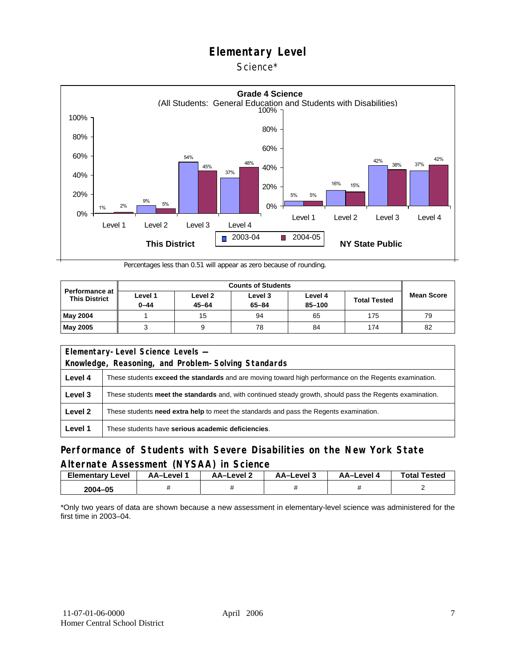#### Science\*



Percentages less than 0.51 will appear as zero because of rounding.

| Performance at<br><b>This District</b> | Level 1<br>$0 - 44$ | Level 2<br>$45 - 64$ | Level 3<br>$65 - 84$ | Level 4<br>85-100 | <b>Total Tested</b> | <b>Mean Score</b> |
|----------------------------------------|---------------------|----------------------|----------------------|-------------------|---------------------|-------------------|
| <b>May 2004</b>                        |                     | 15                   | 94                   | 65                | 175                 | 79                |
| <b>May 2005</b>                        | ັ                   |                      | 78                   | 84                | 174                 | 82                |

|                                                     | Elementary-Level Science Levels -                                                                             |  |  |  |  |
|-----------------------------------------------------|---------------------------------------------------------------------------------------------------------------|--|--|--|--|
| Knowledge, Reasoning, and Problem-Solving Standards |                                                                                                               |  |  |  |  |
| Level 4                                             | These students <b>exceed the standards</b> and are moving toward high performance on the Regents examination. |  |  |  |  |
| Level 3                                             | These students meet the standards and, with continued steady growth, should pass the Regents examination.     |  |  |  |  |
| Level 2                                             | These students <b>need extra help</b> to meet the standards and pass the Regents examination.                 |  |  |  |  |
| Level 1                                             | These students have serious academic deficiencies.                                                            |  |  |  |  |

### **Performance of Students with Severe Disabilities on the New York State Alternate Assessment (NYSAA) in Science**

| <b>Elementary Level</b> | AA-Level | <b>AA-Level 2</b> | د AA–Level | AA-Level 4 | <b>Total Tested</b> |
|-------------------------|----------|-------------------|------------|------------|---------------------|
| 2004-05                 |          |                   |            |            |                     |

\*Only two years of data are shown because a new assessment in elementary-level science was administered for the first time in 2003–04.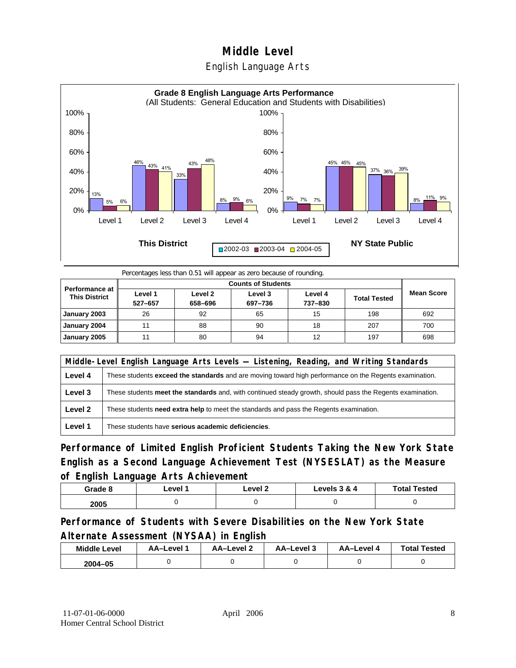### **Middle Level**  English Language Arts



Percentages less than 0.51 will appear as zero because of rounding.

| <b>Performance at</b><br><b>This District</b> | Level 1<br>527-657 | Level 2<br>658-696 | Level 3<br>697-736 | Level 4<br>737-830 | <b>Total Tested</b> | <b>Mean Score</b> |
|-----------------------------------------------|--------------------|--------------------|--------------------|--------------------|---------------------|-------------------|
| January 2003                                  | 26                 | 92                 | 65                 | 15                 | 198                 | 692               |
| January 2004                                  | 11                 | 88                 | 90                 | 18                 | 207                 | 700               |
| January 2005                                  | 11                 | 80                 | 94                 | 12                 | 197                 | 698               |

|         | Middle-Level English Language Arts Levels — Listening, Reading, and Writing Standards                         |  |  |  |  |
|---------|---------------------------------------------------------------------------------------------------------------|--|--|--|--|
| Level 4 | These students <b>exceed the standards</b> and are moving toward high performance on the Regents examination. |  |  |  |  |
| Level 3 | These students meet the standards and, with continued steady growth, should pass the Regents examination.     |  |  |  |  |
| Level 2 | These students <b>need extra help</b> to meet the standards and pass the Regents examination.                 |  |  |  |  |
| Level 1 | These students have serious academic deficiencies.                                                            |  |  |  |  |

**Performance of Limited English Proficient Students Taking the New York State English as a Second Language Achievement Test (NYSESLAT) as the Measure of English Language Arts Achievement**

| Grade 8 | ∟evel 1 | ∟evel 2 | Levels 3 & 4 | <b>Total Tested</b> |
|---------|---------|---------|--------------|---------------------|
| 2005    |         |         |              |                     |

**Performance of Students with Severe Disabilities on the New York State Alternate Assessment (NYSAA) in English** 

| <b>Middle Level</b> | AA-Level | <b>AA-Level 2</b> | AA-Level 3 | AA–Level 4 | <b>Total Tested</b> |
|---------------------|----------|-------------------|------------|------------|---------------------|
| $2004 - 05$         |          |                   |            |            |                     |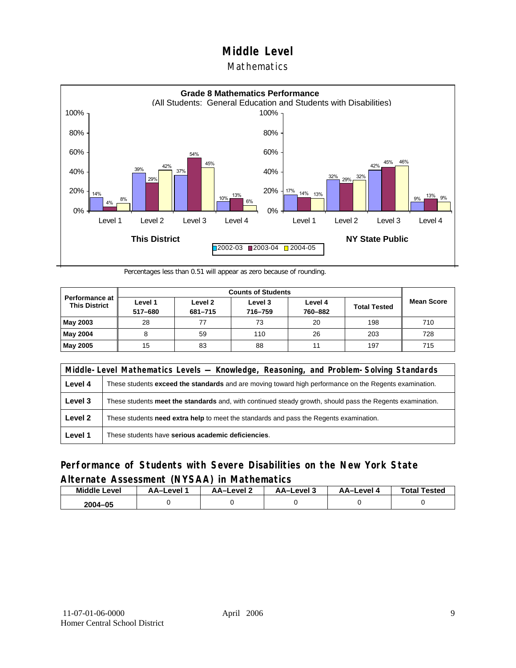#### **Mathematics**



Percentages less than 0.51 will appear as zero because of rounding.

| <b>Performance at</b><br><b>This District</b> | Level 1<br>517-680 | Level 2<br>681-715 | Level 3<br>716-759 | Level 4<br>760-882 | <b>Total Tested</b> | <b>Mean Score</b> |
|-----------------------------------------------|--------------------|--------------------|--------------------|--------------------|---------------------|-------------------|
| May 2003                                      | 28                 |                    | 73                 | 20                 | 198                 | 710               |
| May 2004                                      | 8                  | 59                 | 110                | 26                 | 203                 | 728               |
| May 2005                                      | 15                 | 83                 | 88                 | 11                 | 197                 | 715               |

|         | Middle-Level Mathematics Levels — Knowledge, Reasoning, and Problem-Solving Standards                         |  |  |  |  |
|---------|---------------------------------------------------------------------------------------------------------------|--|--|--|--|
| Level 4 | These students <b>exceed the standards</b> and are moving toward high performance on the Regents examination. |  |  |  |  |
| Level 3 | These students meet the standards and, with continued steady growth, should pass the Regents examination.     |  |  |  |  |
| Level 2 | These students need extra help to meet the standards and pass the Regents examination.                        |  |  |  |  |
| Level 1 | These students have serious academic deficiencies.                                                            |  |  |  |  |

#### **Performance of Students with Severe Disabilities on the New York State Alternate Assessment (NYSAA) in Mathematics**

| <b>Middle Level</b> | AA–Level | AA-Level 2 | AA-Level 3 | AA-Level 4 | <b>Total Tested</b> |
|---------------------|----------|------------|------------|------------|---------------------|
| 2004-05             |          |            |            |            |                     |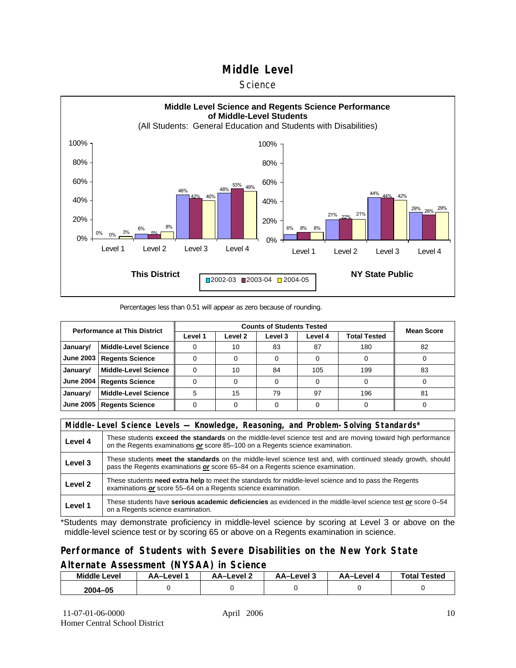#### **Science**



#### Percentages less than 0.51 will appear as zero because of rounding.

| <b>Performance at This District</b> |                             |         | <b>Mean Score</b> |         |         |                     |    |
|-------------------------------------|-----------------------------|---------|-------------------|---------|---------|---------------------|----|
|                                     |                             | Level 1 | Level 2           | Level 3 | Level 4 | <b>Total Tested</b> |    |
| January/                            | <b>Middle-Level Science</b> |         | 10                | 83      | 87      | 180                 | 82 |
| June 2003                           | <b>Regents Science</b>      |         |                   |         |         |                     |    |
| January/                            | <b>Middle-Level Science</b> |         | 10                | 84      | 105     | 199                 | 83 |
| <b>June 2004</b>                    | <b>Regents Science</b>      |         |                   |         |         |                     |    |
| January/                            | <b>Middle-Level Science</b> | 5       | 15                | 79      | 97      | 196                 | 81 |
| June 2005                           | <b>Regents Science</b>      |         |                   |         |         |                     |    |

|                    | Middle-Level Science Levels — Knowledge, Reasoning, and Problem-Solving Standards*                                                                                                             |  |  |  |  |
|--------------------|------------------------------------------------------------------------------------------------------------------------------------------------------------------------------------------------|--|--|--|--|
| Level 4            | These students exceed the standards on the middle-level science test and are moving toward high performance<br>on the Regents examinations or score 85-100 on a Regents science examination.   |  |  |  |  |
| Level 3            | These students meet the standards on the middle-level science test and, with continued steady growth, should<br>pass the Regents examinations or score 65–84 on a Regents science examination. |  |  |  |  |
| Level <sub>2</sub> | These students need extra help to meet the standards for middle-level science and to pass the Regents<br>examinations or score 55-64 on a Regents science examination.                         |  |  |  |  |
| Level 1            | These students have serious academic deficiencies as evidenced in the middle-level science test or score 0–54<br>on a Regents science examination.                                             |  |  |  |  |

\*Students may demonstrate proficiency in middle-level science by scoring at Level 3 or above on the middle-level science test or by scoring 65 or above on a Regents examination in science.

#### **Performance of Students with Severe Disabilities on the New York State Alternate Assessment (NYSAA) in Science**

| Middle L<br>_evel | AA–Level | AA-Level | AA–Level 3 | AA–Level | Total<br>Tested |
|-------------------|----------|----------|------------|----------|-----------------|
| 2004-05           |          |          |            |          |                 |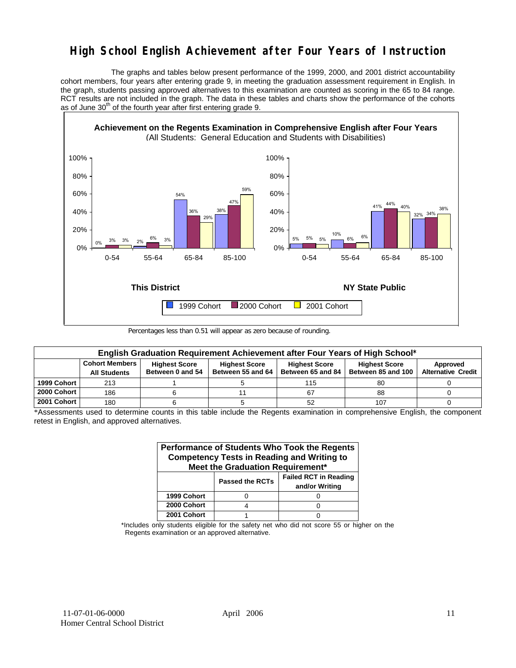### **High School English Achievement after Four Years of Instruction**

 The graphs and tables below present performance of the 1999, 2000, and 2001 district accountability cohort members, four years after entering grade 9, in meeting the graduation assessment requirement in English. In the graph, students passing approved alternatives to this examination are counted as scoring in the 65 to 84 range. RCT results are not included in the graph. The data in these tables and charts show the performance of the cohorts as of June  $30<sup>th</sup>$  of the fourth year after first entering grade 9.



Percentages less than 0.51 will appear as zero because of rounding.

|             | English Graduation Requirement Achievement after Four Years of High School* |                                          |                                           |                                           |                                            |                                       |  |  |  |  |  |  |
|-------------|-----------------------------------------------------------------------------|------------------------------------------|-------------------------------------------|-------------------------------------------|--------------------------------------------|---------------------------------------|--|--|--|--|--|--|
|             | <b>Cohort Members</b><br><b>All Students</b>                                | <b>Highest Score</b><br>Between 0 and 54 | <b>Highest Score</b><br>Between 55 and 64 | <b>Highest Score</b><br>Between 65 and 84 | <b>Highest Score</b><br>Between 85 and 100 | Approved<br><b>Alternative Credit</b> |  |  |  |  |  |  |
| 1999 Cohort | 213                                                                         |                                          |                                           | 115                                       | 80                                         |                                       |  |  |  |  |  |  |
| 2000 Cohort | 186                                                                         |                                          |                                           | 67                                        | 88                                         |                                       |  |  |  |  |  |  |
| 2001 Cohort | 180                                                                         |                                          |                                           | 52                                        | 107                                        |                                       |  |  |  |  |  |  |

\*Assessments used to determine counts in this table include the Regents examination in comprehensive English, the component retest in English, and approved alternatives.

| Performance of Students Who Took the Regents<br><b>Competency Tests in Reading and Writing to</b><br>Meet the Graduation Requirement* |                        |                                                |  |  |  |  |  |  |  |
|---------------------------------------------------------------------------------------------------------------------------------------|------------------------|------------------------------------------------|--|--|--|--|--|--|--|
|                                                                                                                                       | <b>Passed the RCTs</b> | <b>Failed RCT in Reading</b><br>and/or Writing |  |  |  |  |  |  |  |
| 1999 Cohort                                                                                                                           |                        |                                                |  |  |  |  |  |  |  |
| 2000 Cohort                                                                                                                           |                        |                                                |  |  |  |  |  |  |  |
| 2001 Cohort                                                                                                                           |                        |                                                |  |  |  |  |  |  |  |

\*Includes only students eligible for the safety net who did not score 55 or higher on the Regents examination or an approved alternative.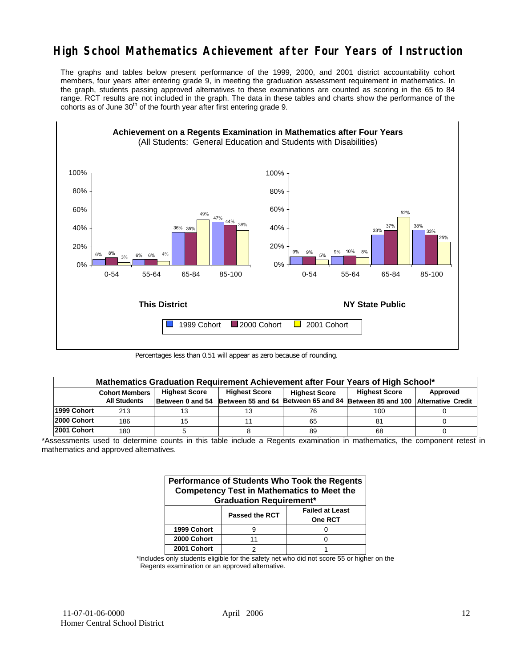### **High School Mathematics Achievement after Four Years of Instruction**

The graphs and tables below present performance of the 1999, 2000, and 2001 district accountability cohort members, four years after entering grade 9, in meeting the graduation assessment requirement in mathematics. In the graph, students passing approved alternatives to these examinations are counted as scoring in the 65 to 84 range. RCT results are not included in the graph. The data in these tables and charts show the performance of the cohorts as of June  $30<sup>th</sup>$  of the fourth year after first entering grade 9.



Percentages less than 0.51 will appear as zero because of rounding.

|             | Mathematics Graduation Requirement Achievement after Four Years of High School* |                                              |  |                      |                                                                           |          |  |  |  |  |  |
|-------------|---------------------------------------------------------------------------------|----------------------------------------------|--|----------------------|---------------------------------------------------------------------------|----------|--|--|--|--|--|
|             | <b>Cohort Members</b>                                                           | <b>Highest Score</b><br><b>Highest Score</b> |  | <b>Highest Score</b> | <b>Highest Score</b>                                                      | Approved |  |  |  |  |  |
|             | <b>All Students</b>                                                             | Between 0 and 54                             |  |                      | Between 55 and 64 Between 65 and 84 Between 85 and 100 Alternative Credit |          |  |  |  |  |  |
| 1999 Cohort | 213                                                                             |                                              |  | 76                   | 100                                                                       |          |  |  |  |  |  |
| 2000 Cohort | 186                                                                             |                                              |  | 65                   | 81                                                                        |          |  |  |  |  |  |
| 2001 Cohort | 180                                                                             |                                              |  | 89                   | 68                                                                        |          |  |  |  |  |  |

<sup>\*</sup>Assessments used to determine counts in this table include a Regents examination in mathematics, the component retest in mathematics and approved alternatives.

| Performance of Students Who Took the Regents<br><b>Competency Test in Mathematics to Meet the</b><br><b>Graduation Requirement*</b> |                |                                          |  |  |  |  |  |  |
|-------------------------------------------------------------------------------------------------------------------------------------|----------------|------------------------------------------|--|--|--|--|--|--|
|                                                                                                                                     | Passed the RCT | <b>Failed at Least</b><br><b>One RCT</b> |  |  |  |  |  |  |
| 1999 Cohort                                                                                                                         | q              |                                          |  |  |  |  |  |  |
| 2000 Cohort                                                                                                                         | 11             |                                          |  |  |  |  |  |  |
| 2001 Cohort                                                                                                                         |                |                                          |  |  |  |  |  |  |

\*Includes only students eligible for the safety net who did not score 55 or higher on the Regents examination or an approved alternative.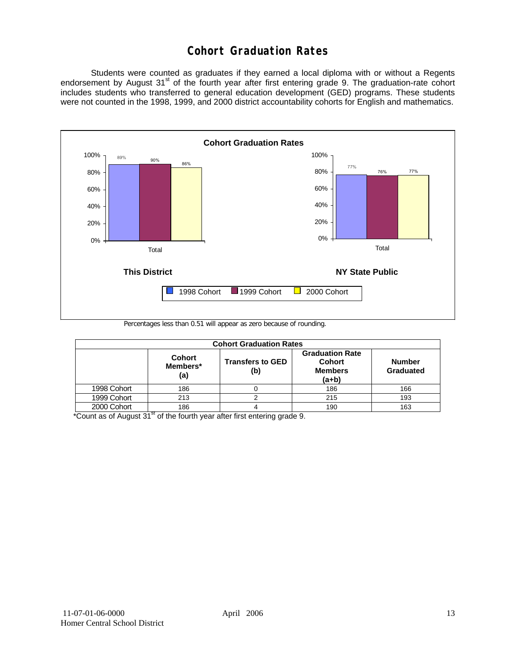### **Cohort Graduation Rates**

 Students were counted as graduates if they earned a local diploma with or without a Regents endorsement by August 31<sup>st</sup> of the fourth year after first entering grade 9. The graduation-rate cohort includes students who transferred to general education development (GED) programs. These students were not counted in the 1998, 1999, and 2000 district accountability cohorts for English and mathematics.



Percentages less than 0.51 will appear as zero because of rounding.

| <b>Cohort Graduation Rates</b> |                                  |                                |                                                                      |                            |  |  |  |  |  |  |
|--------------------------------|----------------------------------|--------------------------------|----------------------------------------------------------------------|----------------------------|--|--|--|--|--|--|
|                                | <b>Cohort</b><br>Members*<br>(a) | <b>Transfers to GED</b><br>(b) | <b>Graduation Rate</b><br><b>Cohort</b><br><b>Members</b><br>$(a+b)$ | <b>Number</b><br>Graduated |  |  |  |  |  |  |
| 1998 Cohort                    | 186                              |                                | 186                                                                  | 166                        |  |  |  |  |  |  |
| 1999 Cohort                    | 213                              |                                | 215                                                                  | 193                        |  |  |  |  |  |  |
| 2000 Cohort                    | 186                              |                                | 190                                                                  | 163                        |  |  |  |  |  |  |

 $*$ Count as of August 31 $*$  of the fourth year after first entering grade 9.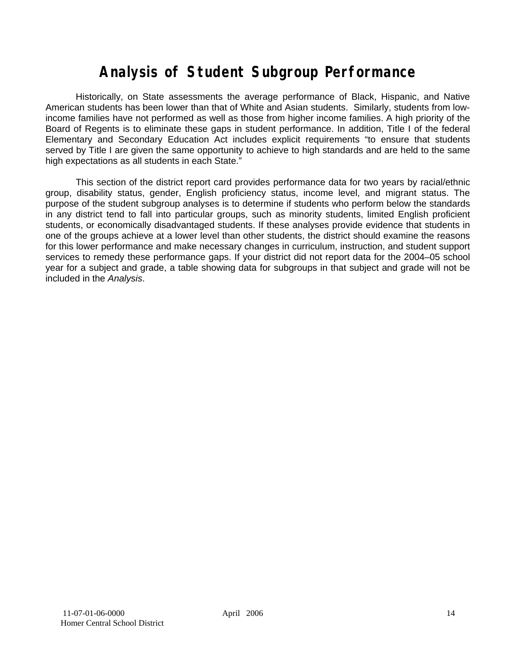# **Analysis of Student Subgroup Performance**

Historically, on State assessments the average performance of Black, Hispanic, and Native American students has been lower than that of White and Asian students. Similarly, students from lowincome families have not performed as well as those from higher income families. A high priority of the Board of Regents is to eliminate these gaps in student performance. In addition, Title I of the federal Elementary and Secondary Education Act includes explicit requirements "to ensure that students served by Title I are given the same opportunity to achieve to high standards and are held to the same high expectations as all students in each State."

This section of the district report card provides performance data for two years by racial/ethnic group, disability status, gender, English proficiency status, income level, and migrant status. The purpose of the student subgroup analyses is to determine if students who perform below the standards in any district tend to fall into particular groups, such as minority students, limited English proficient students, or economically disadvantaged students. If these analyses provide evidence that students in one of the groups achieve at a lower level than other students, the district should examine the reasons for this lower performance and make necessary changes in curriculum, instruction, and student support services to remedy these performance gaps. If your district did not report data for the 2004–05 school year for a subject and grade, a table showing data for subgroups in that subject and grade will not be included in the *Analysis*.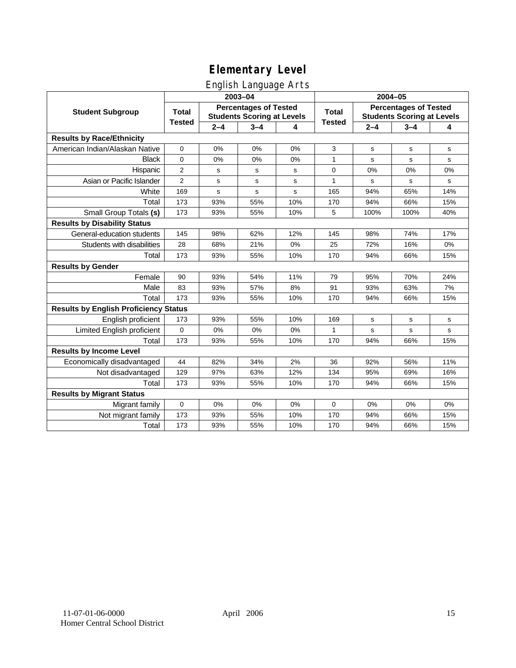### English Language Arts

|                                              |                |         | ັ<br>2003-04                                                      |     | 2004-05       |             |                                                                   |             |  |
|----------------------------------------------|----------------|---------|-------------------------------------------------------------------|-----|---------------|-------------|-------------------------------------------------------------------|-------------|--|
| <b>Student Subgroup</b>                      | <b>Total</b>   |         | <b>Percentages of Tested</b><br><b>Students Scoring at Levels</b> |     | Total         |             | <b>Percentages of Tested</b><br><b>Students Scoring at Levels</b> |             |  |
|                                              | <b>Tested</b>  | $2 - 4$ | $3 - 4$                                                           | 4   | <b>Tested</b> | $2 - 4$     | $3 - 4$                                                           | 4           |  |
| <b>Results by Race/Ethnicity</b>             |                |         |                                                                   |     |               |             |                                                                   |             |  |
| American Indian/Alaskan Native               | 0              | 0%      | 0%                                                                | 0%  | 3             | s           | s                                                                 | s           |  |
| <b>Black</b>                                 | 0              | 0%      | 0%                                                                | 0%  | 1             | s           | s                                                                 | s           |  |
| Hispanic                                     | $\overline{2}$ | s       | s                                                                 | s   | 0             | 0%          | 0%                                                                | 0%          |  |
| Asian or Pacific Islander                    | $\overline{2}$ | s       | $\mathbf s$                                                       | s   | $\mathbf{1}$  | s           | s                                                                 | s           |  |
| White                                        | 169            | s       | $\mathbf S$                                                       | s   | 165           | 94%         | 65%                                                               | 14%         |  |
| Total                                        | 173            | 93%     | 55%                                                               | 10% | 170           | 94%         | 66%                                                               | 15%         |  |
| Small Group Totals (s)                       | 173            | 93%     | 55%                                                               | 10% | 5             | 100%        | 100%                                                              | 40%         |  |
| <b>Results by Disability Status</b>          |                |         |                                                                   |     |               |             |                                                                   |             |  |
| General-education students                   | 145            | 98%     | 62%                                                               | 12% | 145           | 98%         | 74%                                                               | 17%         |  |
| Students with disabilities                   | 28             | 68%     | 21%                                                               | 0%  | 25            | 72%         | 16%                                                               | $0\%$       |  |
| Total                                        | 173            | 93%     | 55%                                                               | 10% | 170           | 94%         | 66%                                                               | 15%         |  |
| <b>Results by Gender</b>                     |                |         |                                                                   |     |               |             |                                                                   |             |  |
| Female                                       | 90             | 93%     | 54%                                                               | 11% | 79            | 95%         | 70%                                                               | 24%         |  |
| Male                                         | 83             | 93%     | 57%                                                               | 8%  | 91            | 93%         | 63%                                                               | 7%          |  |
| Total                                        | 173            | 93%     | 55%                                                               | 10% | 170           | 94%         | 66%                                                               | 15%         |  |
| <b>Results by English Proficiency Status</b> |                |         |                                                                   |     |               |             |                                                                   |             |  |
| English proficient                           | 173            | 93%     | 55%                                                               | 10% | 169           | s           | s                                                                 | s           |  |
| Limited English proficient                   | 0              | 0%      | 0%                                                                | 0%  | 1             | $\mathbf s$ | $\mathbf s$                                                       | $\mathbf s$ |  |
| Total                                        | 173            | 93%     | 55%                                                               | 10% | 170           | 94%         | 66%                                                               | 15%         |  |
| <b>Results by Income Level</b>               |                |         |                                                                   |     |               |             |                                                                   |             |  |
| Economically disadvantaged                   | 44             | 82%     | 34%                                                               | 2%  | 36            | 92%         | 56%                                                               | 11%         |  |
| Not disadvantaged                            | 129            | 97%     | 63%                                                               | 12% | 134           | 95%         | 69%                                                               | 16%         |  |
| Total                                        | 173            | 93%     | 55%                                                               | 10% | 170           | 94%         | 66%                                                               | 15%         |  |
| <b>Results by Migrant Status</b>             |                |         |                                                                   |     |               |             |                                                                   |             |  |
| Migrant family                               | $\mathbf 0$    | 0%      | 0%                                                                | 0%  | 0             | 0%          | 0%                                                                | 0%          |  |
| Not migrant family                           | 173            | 93%     | 55%                                                               | 10% | 170           | 94%         | 66%                                                               | 15%         |  |
| Total                                        | 173            | 93%     | 55%                                                               | 10% | 170           | 94%         | 66%                                                               | 15%         |  |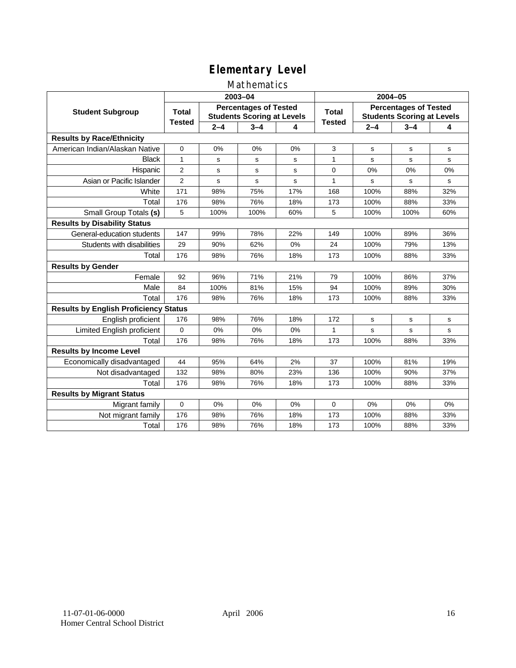### Mathematics

|                                              |                |         | 2003-04                                                           |     | 2004-05       |         |                                                                   |     |
|----------------------------------------------|----------------|---------|-------------------------------------------------------------------|-----|---------------|---------|-------------------------------------------------------------------|-----|
| <b>Student Subgroup</b>                      | <b>Total</b>   |         | <b>Percentages of Tested</b><br><b>Students Scoring at Levels</b> |     | Total         |         | <b>Percentages of Tested</b><br><b>Students Scoring at Levels</b> |     |
|                                              | <b>Tested</b>  | $2 - 4$ | $3 - 4$                                                           | 4   | <b>Tested</b> | $2 - 4$ | $3 - 4$                                                           | 4   |
| <b>Results by Race/Ethnicity</b>             |                |         |                                                                   |     |               |         |                                                                   |     |
| American Indian/Alaskan Native               | 0              | 0%      | 0%                                                                | 0%  | 3             | s       | s                                                                 | s   |
| <b>Black</b>                                 | 1              | s       | s                                                                 | s   | 1             | s       | s                                                                 | s   |
| Hispanic                                     | $\overline{2}$ | s       | s                                                                 | s   | $\mathbf 0$   | 0%      | 0%                                                                | 0%  |
| Asian or Pacific Islander                    | $\overline{2}$ | s       | s                                                                 | s   | 1             | s       | s                                                                 | s   |
| White                                        | 171            | 98%     | 75%                                                               | 17% | 168           | 100%    | 88%                                                               | 32% |
| Total                                        | 176            | 98%     | 76%                                                               | 18% | 173           | 100%    | 88%                                                               | 33% |
| Small Group Totals (s)                       | 5              | 100%    | 100%                                                              | 60% | 5             | 100%    | 100%                                                              | 60% |
| <b>Results by Disability Status</b>          |                |         |                                                                   |     |               |         |                                                                   |     |
| General-education students                   | 147            | 99%     | 78%                                                               | 22% | 149           | 100%    | 89%                                                               | 36% |
| Students with disabilities                   | 29             | 90%     | 62%                                                               | 0%  | 24            | 100%    | 79%                                                               | 13% |
| Total                                        | 176            | 98%     | 76%                                                               | 18% | 173           | 100%    | 88%                                                               | 33% |
| <b>Results by Gender</b>                     |                |         |                                                                   |     |               |         |                                                                   |     |
| Female                                       | 92             | 96%     | 71%                                                               | 21% | 79            | 100%    | 86%                                                               | 37% |
| Male                                         | 84             | 100%    | 81%                                                               | 15% | 94            | 100%    | 89%                                                               | 30% |
| Total                                        | 176            | 98%     | 76%                                                               | 18% | 173           | 100%    | 88%                                                               | 33% |
| <b>Results by English Proficiency Status</b> |                |         |                                                                   |     |               |         |                                                                   |     |
| English proficient                           | 176            | 98%     | 76%                                                               | 18% | 172           | s       | s                                                                 | s   |
| Limited English proficient                   | $\Omega$       | 0%      | 0%                                                                | 0%  | 1             | s       | s                                                                 | s   |
| Total                                        | 176            | 98%     | 76%                                                               | 18% | 173           | 100%    | 88%                                                               | 33% |
| <b>Results by Income Level</b>               |                |         |                                                                   |     |               |         |                                                                   |     |
| Economically disadvantaged                   | 44             | 95%     | 64%                                                               | 2%  | 37            | 100%    | 81%                                                               | 19% |
| Not disadvantaged                            | 132            | 98%     | 80%                                                               | 23% | 136           | 100%    | 90%                                                               | 37% |
| Total                                        | 176            | 98%     | 76%                                                               | 18% | 173           | 100%    | 88%                                                               | 33% |
| <b>Results by Migrant Status</b>             |                |         |                                                                   |     |               |         |                                                                   |     |
| Migrant family                               | 0              | 0%      | 0%                                                                | 0%  | $\Omega$      | 0%      | 0%                                                                | 0%  |
| Not migrant family                           | 176            | 98%     | 76%                                                               | 18% | 173           | 100%    | 88%                                                               | 33% |
| Total                                        | 176            | 98%     | 76%                                                               | 18% | 173           | 100%    | 88%                                                               | 33% |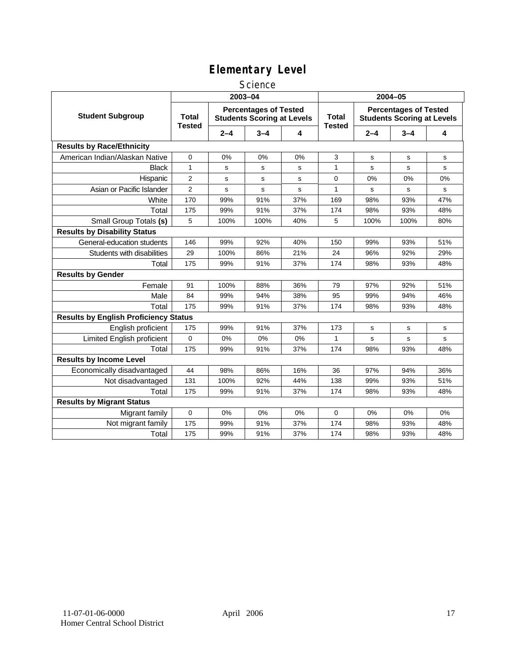#### **Science**

|                                              | 2003-04                |         |                                                                   |             | 2004-05                       |         |                                                                   |     |
|----------------------------------------------|------------------------|---------|-------------------------------------------------------------------|-------------|-------------------------------|---------|-------------------------------------------------------------------|-----|
| <b>Student Subgroup</b>                      | Total<br><b>Tested</b> |         | <b>Percentages of Tested</b><br><b>Students Scoring at Levels</b> |             | <b>Total</b><br><b>Tested</b> |         | <b>Percentages of Tested</b><br><b>Students Scoring at Levels</b> |     |
|                                              |                        | $2 - 4$ | $3 - 4$                                                           | 4           |                               | $2 - 4$ | $3 - 4$                                                           | 4   |
| <b>Results by Race/Ethnicity</b>             |                        |         |                                                                   |             |                               |         |                                                                   |     |
| American Indian/Alaskan Native               | 0                      | 0%      | 0%                                                                | 0%          | 3                             | s       | $\mathbf s$                                                       | s   |
| <b>Black</b>                                 | $\mathbf{1}$           | s       | s                                                                 | s           | 1                             | s       | s                                                                 | s   |
| Hispanic                                     | $\overline{2}$         | s       | s                                                                 | $\mathbf s$ | $\mathbf 0$                   | 0%      | 0%                                                                | 0%  |
| Asian or Pacific Islander                    | $\overline{2}$         | s       | s                                                                 | s           | $\mathbf{1}$                  | s       | s                                                                 | s   |
| White                                        | 170                    | 99%     | 91%                                                               | 37%         | 169                           | 98%     | 93%                                                               | 47% |
| Total                                        | 175                    | 99%     | 91%                                                               | 37%         | 174                           | 98%     | 93%                                                               | 48% |
| Small Group Totals (s)                       | 5                      | 100%    | 100%                                                              | 40%         | 5                             | 100%    | 100%                                                              | 80% |
| <b>Results by Disability Status</b>          |                        |         |                                                                   |             |                               |         |                                                                   |     |
| General-education students                   | 146                    | 99%     | 92%                                                               | 40%         | 150                           | 99%     | 93%                                                               | 51% |
| Students with disabilities                   | 29                     | 100%    | 86%                                                               | 21%         | 24                            | 96%     | 92%                                                               | 29% |
| Total                                        | 175                    | 99%     | 91%                                                               | 37%         | 174                           | 98%     | 93%                                                               | 48% |
| <b>Results by Gender</b>                     |                        |         |                                                                   |             |                               |         |                                                                   |     |
| Female                                       | 91                     | 100%    | 88%                                                               | 36%         | 79                            | 97%     | 92%                                                               | 51% |
| Male                                         | 84                     | 99%     | 94%                                                               | 38%         | 95                            | 99%     | 94%                                                               | 46% |
| Total                                        | 175                    | 99%     | 91%                                                               | 37%         | 174                           | 98%     | 93%                                                               | 48% |
| <b>Results by English Proficiency Status</b> |                        |         |                                                                   |             |                               |         |                                                                   |     |
| English proficient                           | 175                    | 99%     | 91%                                                               | 37%         | 173                           | s       | s                                                                 | s   |
| Limited English proficient                   | $\mathbf 0$            | 0%      | 0%                                                                | 0%          | $\mathbf{1}$                  | s       | s                                                                 | s   |
| Total                                        | 175                    | 99%     | 91%                                                               | 37%         | 174                           | 98%     | 93%                                                               | 48% |
| <b>Results by Income Level</b>               |                        |         |                                                                   |             |                               |         |                                                                   |     |
| Economically disadvantaged                   | 44                     | 98%     | 86%                                                               | 16%         | 36                            | 97%     | 94%                                                               | 36% |
| Not disadvantaged                            | 131                    | 100%    | 92%                                                               | 44%         | 138                           | 99%     | 93%                                                               | 51% |
| Total                                        | 175                    | 99%     | 91%                                                               | 37%         | 174                           | 98%     | 93%                                                               | 48% |
| <b>Results by Migrant Status</b>             |                        |         |                                                                   |             |                               |         |                                                                   |     |
| Migrant family                               | 0                      | 0%      | 0%                                                                | 0%          | $\mathbf 0$                   | 0%      | 0%                                                                | 0%  |
| Not migrant family                           | 175                    | 99%     | 91%                                                               | 37%         | 174                           | 98%     | 93%                                                               | 48% |
| Total                                        | 175                    | 99%     | 91%                                                               | 37%         | 174                           | 98%     | 93%                                                               | 48% |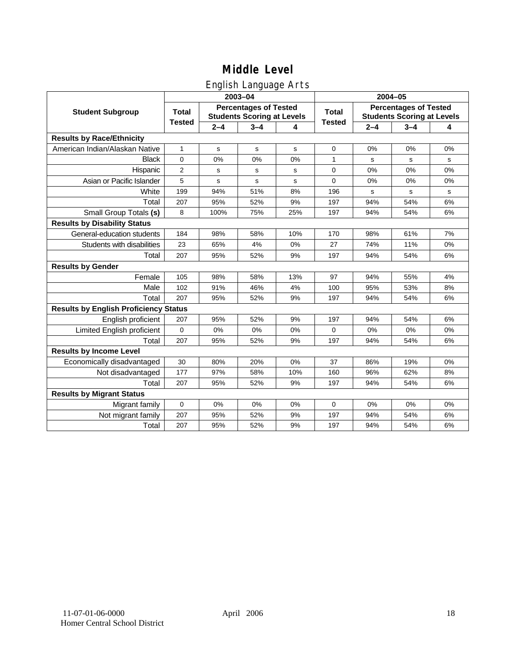### English Language Arts

|                                              |                |             | ັ<br>2003-04                                                      |     | 2004-05       |         |                                                                   |    |  |
|----------------------------------------------|----------------|-------------|-------------------------------------------------------------------|-----|---------------|---------|-------------------------------------------------------------------|----|--|
| <b>Student Subgroup</b>                      | <b>Total</b>   |             | <b>Percentages of Tested</b><br><b>Students Scoring at Levels</b> |     | <b>Total</b>  |         | <b>Percentages of Tested</b><br><b>Students Scoring at Levels</b> |    |  |
|                                              | <b>Tested</b>  | $2 - 4$     | $3 - 4$                                                           | 4   | <b>Tested</b> | $2 - 4$ | $3 - 4$                                                           | 4  |  |
| <b>Results by Race/Ethnicity</b>             |                |             |                                                                   |     |               |         |                                                                   |    |  |
| American Indian/Alaskan Native               | 1              | $\mathbf s$ | s                                                                 | s   | $\mathbf 0$   | 0%      | 0%                                                                | 0% |  |
| <b>Black</b>                                 | 0              | 0%          | 0%                                                                | 0%  | 1             | s       | s                                                                 | s  |  |
| Hispanic                                     | $\overline{2}$ | s           | s                                                                 | s   | 0             | 0%      | 0%                                                                | 0% |  |
| Asian or Pacific Islander                    | 5              | s           | $\mathbf s$                                                       | s   | $\mathbf 0$   | 0%      | 0%                                                                | 0% |  |
| White                                        | 199            | 94%         | 51%                                                               | 8%  | 196           | s       | s                                                                 | s  |  |
| Total                                        | 207            | 95%         | 52%                                                               | 9%  | 197           | 94%     | 54%                                                               | 6% |  |
| Small Group Totals (s)                       | 8              | 100%        | 75%                                                               | 25% | 197           | 94%     | 54%                                                               | 6% |  |
| <b>Results by Disability Status</b>          |                |             |                                                                   |     |               |         |                                                                   |    |  |
| General-education students                   | 184            | 98%         | 58%                                                               | 10% | 170           | 98%     | 61%                                                               | 7% |  |
| Students with disabilities                   | 23             | 65%         | 4%                                                                | 0%  | 27            | 74%     | 11%                                                               | 0% |  |
| Total                                        | 207            | 95%         | 52%                                                               | 9%  | 197           | 94%     | 54%                                                               | 6% |  |
| <b>Results by Gender</b>                     |                |             |                                                                   |     |               |         |                                                                   |    |  |
| Female                                       | 105            | 98%         | 58%                                                               | 13% | 97            | 94%     | 55%                                                               | 4% |  |
| Male                                         | 102            | 91%         | 46%                                                               | 4%  | 100           | 95%     | 53%                                                               | 8% |  |
| Total                                        | 207            | 95%         | 52%                                                               | 9%  | 197           | 94%     | 54%                                                               | 6% |  |
| <b>Results by English Proficiency Status</b> |                |             |                                                                   |     |               |         |                                                                   |    |  |
| English proficient                           | 207            | 95%         | 52%                                                               | 9%  | 197           | 94%     | 54%                                                               | 6% |  |
| Limited English proficient                   | $\Omega$       | 0%          | 0%                                                                | 0%  | $\Omega$      | 0%      | 0%                                                                | 0% |  |
| Total                                        | 207            | 95%         | 52%                                                               | 9%  | 197           | 94%     | 54%                                                               | 6% |  |
| <b>Results by Income Level</b>               |                |             |                                                                   |     |               |         |                                                                   |    |  |
| Economically disadvantaged                   | 30             | 80%         | 20%                                                               | 0%  | 37            | 86%     | 19%                                                               | 0% |  |
| Not disadvantaged                            | 177            | 97%         | 58%                                                               | 10% | 160           | 96%     | 62%                                                               | 8% |  |
| Total                                        | 207            | 95%         | 52%                                                               | 9%  | 197           | 94%     | 54%                                                               | 6% |  |
| <b>Results by Migrant Status</b>             |                |             |                                                                   |     |               |         |                                                                   |    |  |
| Migrant family                               | $\mathbf 0$    | 0%          | 0%                                                                | 0%  | $\mathbf 0$   | 0%      | 0%                                                                | 0% |  |
| Not migrant family                           | 207            | 95%         | 52%                                                               | 9%  | 197           | 94%     | 54%                                                               | 6% |  |
| Total                                        | 207            | 95%         | 52%                                                               | 9%  | 197           | 94%     | 54%                                                               | 6% |  |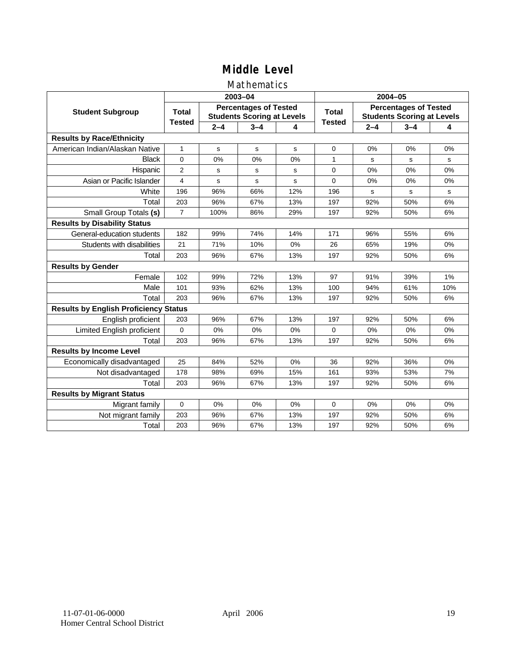### Mathematics

|                                              |                |             | 2003-04                                                           |     | 2004-05       |         |                                                                   |             |
|----------------------------------------------|----------------|-------------|-------------------------------------------------------------------|-----|---------------|---------|-------------------------------------------------------------------|-------------|
| <b>Student Subgroup</b>                      | <b>Total</b>   |             | <b>Percentages of Tested</b><br><b>Students Scoring at Levels</b> |     | Total         |         | <b>Percentages of Tested</b><br><b>Students Scoring at Levels</b> |             |
|                                              | <b>Tested</b>  | $2 - 4$     | $3 - 4$                                                           | 4   | <b>Tested</b> | $2 - 4$ | $3 - 4$                                                           | 4           |
| <b>Results by Race/Ethnicity</b>             |                |             |                                                                   |     |               |         |                                                                   |             |
| American Indian/Alaskan Native               | $\mathbf{1}$   | s           | s                                                                 | s   | $\Omega$      | 0%      | 0%                                                                | 0%          |
| <b>Black</b>                                 | $\Omega$       | 0%          | 0%                                                                | 0%  | 1             | s       | s                                                                 | s           |
| Hispanic                                     | $\overline{2}$ | s           | s                                                                 | s   | $\mathbf 0$   | 0%      | 0%                                                                | 0%          |
| Asian or Pacific Islander                    | 4              | $\mathbf s$ | s                                                                 | s   | $\mathbf 0$   | 0%      | 0%                                                                | 0%          |
| White                                        | 196            | 96%         | 66%                                                               | 12% | 196           | s       | s                                                                 | $\mathbf s$ |
| Total                                        | 203            | 96%         | 67%                                                               | 13% | 197           | 92%     | 50%                                                               | 6%          |
| Small Group Totals (s)                       | $\overline{7}$ | 100%        | 86%                                                               | 29% | 197           | 92%     | 50%                                                               | 6%          |
| <b>Results by Disability Status</b>          |                |             |                                                                   |     |               |         |                                                                   |             |
| General-education students                   | 182            | 99%         | 74%                                                               | 14% | 171           | 96%     | 55%                                                               | 6%          |
| Students with disabilities                   | 21             | 71%         | 10%                                                               | 0%  | 26            | 65%     | 19%                                                               | 0%          |
| Total                                        | 203            | 96%         | 67%                                                               | 13% | 197           | 92%     | 50%                                                               | 6%          |
| <b>Results by Gender</b>                     |                |             |                                                                   |     |               |         |                                                                   |             |
| Female                                       | 102            | 99%         | 72%                                                               | 13% | 97            | 91%     | 39%                                                               | 1%          |
| Male                                         | 101            | 93%         | 62%                                                               | 13% | 100           | 94%     | 61%                                                               | 10%         |
| Total                                        | 203            | 96%         | 67%                                                               | 13% | 197           | 92%     | 50%                                                               | 6%          |
| <b>Results by English Proficiency Status</b> |                |             |                                                                   |     |               |         |                                                                   |             |
| English proficient                           | 203            | 96%         | 67%                                                               | 13% | 197           | 92%     | 50%                                                               | 6%          |
| Limited English proficient                   | 0              | 0%          | 0%                                                                | 0%  | 0             | 0%      | 0%                                                                | 0%          |
| Total                                        | 203            | 96%         | 67%                                                               | 13% | 197           | 92%     | 50%                                                               | 6%          |
| <b>Results by Income Level</b>               |                |             |                                                                   |     |               |         |                                                                   |             |
| Economically disadvantaged                   | 25             | 84%         | 52%                                                               | 0%  | 36            | 92%     | 36%                                                               | 0%          |
| Not disadvantaged                            | 178            | 98%         | 69%                                                               | 15% | 161           | 93%     | 53%                                                               | 7%          |
| Total                                        | 203            | 96%         | 67%                                                               | 13% | 197           | 92%     | 50%                                                               | 6%          |
| <b>Results by Migrant Status</b>             |                |             |                                                                   |     |               |         |                                                                   |             |
| Migrant family                               | 0              | 0%          | 0%                                                                | 0%  | $\Omega$      | 0%      | 0%                                                                | 0%          |
| Not migrant family                           | 203            | 96%         | 67%                                                               | 13% | 197           | 92%     | 50%                                                               | 6%          |
| Total                                        | 203            | 96%         | 67%                                                               | 13% | 197           | 92%     | 50%                                                               | 6%          |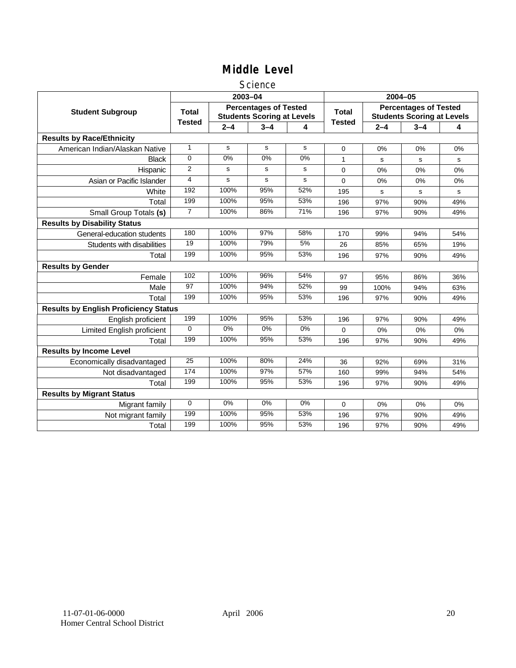#### Science

|                                              |                 | 2003-04 |                                                                   |       |               | 2004-05     |                                                                   |     |  |
|----------------------------------------------|-----------------|---------|-------------------------------------------------------------------|-------|---------------|-------------|-------------------------------------------------------------------|-----|--|
| <b>Student Subgroup</b>                      | <b>Total</b>    |         | <b>Percentages of Tested</b><br><b>Students Scoring at Levels</b> |       | <b>Total</b>  |             | <b>Percentages of Tested</b><br><b>Students Scoring at Levels</b> |     |  |
|                                              | <b>Tested</b>   | $2 - 4$ | $3 - 4$                                                           | 4     | <b>Tested</b> | $2 - 4$     | $3 - 4$                                                           | 4   |  |
| <b>Results by Race/Ethnicity</b>             |                 |         |                                                                   |       |               |             |                                                                   |     |  |
| American Indian/Alaskan Native               | $\mathbf{1}$    | s       | s                                                                 | s     | $\Omega$      | 0%          | 0%                                                                | 0%  |  |
| <b>Black</b>                                 | 0               | 0%      | 0%                                                                | 0%    | 1             | s           | s                                                                 | s   |  |
| Hispanic                                     | $\overline{2}$  | s       | s                                                                 | s     | $\Omega$      | 0%          | 0%                                                                | 0%  |  |
| Asian or Pacific Islander                    | 4               | s       | s                                                                 | s     | 0             | 0%          | 0%                                                                | 0%  |  |
| White                                        | 192             | 100%    | 95%                                                               | 52%   | 195           | $\mathbf s$ | s                                                                 | s   |  |
| Total                                        | 199             | 100%    | 95%                                                               | 53%   | 196           | 97%         | 90%                                                               | 49% |  |
| Small Group Totals (s)                       | $\overline{7}$  | 100%    | 86%                                                               | 71%   | 196           | 97%         | 90%                                                               | 49% |  |
| <b>Results by Disability Status</b>          |                 |         |                                                                   |       |               |             |                                                                   |     |  |
| General-education students                   | 180             | 100%    | 97%                                                               | 58%   | 170           | 99%         | 94%                                                               | 54% |  |
| Students with disabilities                   | $\overline{19}$ | 100%    | 79%                                                               | 5%    | 26            | 85%         | 65%                                                               | 19% |  |
| Total                                        | 199             | 100%    | 95%                                                               | 53%   | 196           | 97%         | 90%                                                               | 49% |  |
| <b>Results by Gender</b>                     |                 |         |                                                                   |       |               |             |                                                                   |     |  |
| Female                                       | 102             | 100%    | 96%                                                               | 54%   | 97            | 95%         | 86%                                                               | 36% |  |
| Male                                         | 97              | 100%    | 94%                                                               | 52%   | 99            | 100%        | 94%                                                               | 63% |  |
| Total                                        | 199             | 100%    | 95%                                                               | 53%   | 196           | 97%         | 90%                                                               | 49% |  |
| <b>Results by English Proficiency Status</b> |                 |         |                                                                   |       |               |             |                                                                   |     |  |
| English proficient                           | 199             | 100%    | 95%                                                               | 53%   | 196           | 97%         | 90%                                                               | 49% |  |
| <b>Limited English proficient</b>            | $\Omega$        | $0\%$   | 0%                                                                | $0\%$ | 0             | 0%          | 0%                                                                | 0%  |  |
| Total                                        | 199             | 100%    | 95%                                                               | 53%   | 196           | 97%         | 90%                                                               | 49% |  |
| <b>Results by Income Level</b>               |                 |         |                                                                   |       |               |             |                                                                   |     |  |
| Economically disadvantaged                   | 25              | 100%    | 80%                                                               | 24%   | 36            | 92%         | 69%                                                               | 31% |  |
| Not disadvantaged                            | 174             | 100%    | 97%                                                               | 57%   | 160           | 99%         | 94%                                                               | 54% |  |
| Total                                        | 199             | 100%    | 95%                                                               | 53%   | 196           | 97%         | 90%                                                               | 49% |  |
| <b>Results by Migrant Status</b>             |                 |         |                                                                   |       |               |             |                                                                   |     |  |
| Migrant family                               | $\mathbf 0$     | 0%      | 0%                                                                | 0%    | 0             | 0%          | 0%                                                                | 0%  |  |
| Not migrant family                           | 199             | 100%    | 95%                                                               | 53%   | 196           | 97%         | 90%                                                               | 49% |  |
| Total                                        | 199             | 100%    | 95%                                                               | 53%   | 196           | 97%         | 90%                                                               | 49% |  |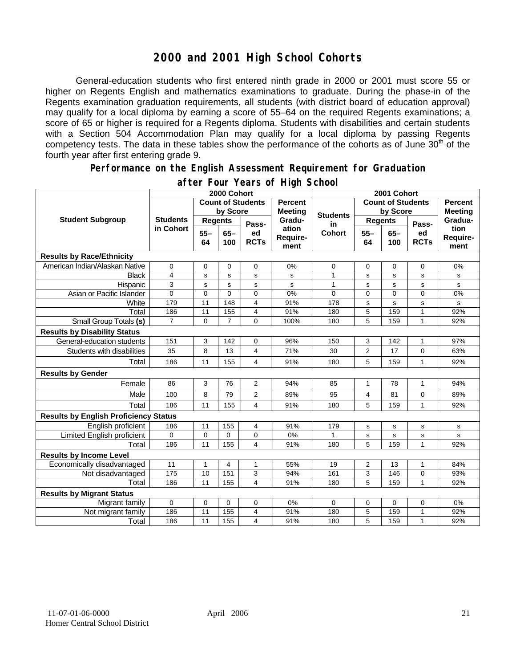### **2000 and 2001 High School Cohorts**

General-education students who first entered ninth grade in 2000 or 2001 must score 55 or higher on Regents English and mathematics examinations to graduate. During the phase-in of the Regents examination graduation requirements, all students (with district board of education approval) may qualify for a local diploma by earning a score of 55–64 on the required Regents examinations; a score of 65 or higher is required for a Regents diploma. Students with disabilities and certain students with a Section 504 Accommodation Plan may qualify for a local diploma by passing Regents competency tests. The data in these tables show the performance of the cohorts as of June 30<sup>th</sup> of the fourth year after first entering grade 9.

#### **Performance on the English Assessment Requirement for Graduation**

|                                              | 2000 Cohort                  |                          |                |                   |                                  | 2001 Cohort     |                          |              |                   |                          |
|----------------------------------------------|------------------------------|--------------------------|----------------|-------------------|----------------------------------|-----------------|--------------------------|--------------|-------------------|--------------------------|
| <b>Student Subgroup</b>                      |                              | <b>Count of Students</b> |                |                   | <b>Percent</b><br><b>Meeting</b> |                 | <b>Count of Students</b> |              | <b>Percent</b>    |                          |
|                                              | <b>Students</b><br>in Cohort | by Score                 |                |                   |                                  | <b>Students</b> | by Score                 |              | <b>Meeting</b>    |                          |
|                                              |                              | <b>Regents</b>           |                | Pass-             | Gradu-                           | in              | <b>Regents</b>           |              | Pass-             | Gradua-                  |
|                                              |                              | $55 -$<br>64             | $65 -$<br>100  | ed<br><b>RCTs</b> | ation<br>Require-<br>ment        | <b>Cohort</b>   | $55 -$<br>64             | $65-$<br>100 | ed<br><b>RCTs</b> | tion<br>Require-<br>ment |
| <b>Results by Race/Ethnicity</b>             |                              |                          |                |                   |                                  |                 |                          |              |                   |                          |
| American Indian/Alaskan Native               | 0                            | 0                        | $\mathbf 0$    | 0                 | 0%                               | 0               | 0                        | $\mathbf 0$  | 0                 | 0%                       |
| <b>Black</b>                                 | $\overline{4}$               | s                        | s              | s                 | s                                | 1               | s                        | s            | s                 | s                        |
| Hispanic                                     | 3                            | S                        | s              | s                 | s                                | 1               | s                        | s            | s                 | s                        |
| Asian or Pacific Islander                    | $\Omega$                     | $\mathbf 0$              | $\mathbf{0}$   | $\overline{0}$    | 0%                               | $\Omega$        | $\mathbf 0$              | 0            | $\overline{0}$    | 0%                       |
| White                                        | 179                          | $\overline{11}$          | 148            | 4                 | 91%                              | 178             | s                        | $\mathbf s$  | s                 | s                        |
| Total                                        | 186                          | 11                       | 155            | 4                 | 91%                              | 180             | 5                        | 159          | $\mathbf{1}$      | 92%                      |
| Small Group Totals (s)                       | $\overline{7}$               | 0                        | $\overline{7}$ | $\Omega$          | 100%                             | 180             | 5                        | 159          | 1                 | 92%                      |
| <b>Results by Disability Status</b>          |                              |                          |                |                   |                                  |                 |                          |              |                   |                          |
| General-education students                   | 151                          | 3                        | 142            | 0                 | 96%                              | 150             | 3                        | 142          | 1                 | 97%                      |
| Students with disabilities                   | 35                           | 8                        | 13             | 4                 | 71%                              | 30              | $\overline{2}$           | 17           | 0                 | 63%                      |
| Total                                        | 186                          | 11                       | 155            | 4                 | 91%                              | 180             | 5                        | 159          | $\mathbf{1}$      | 92%                      |
| <b>Results by Gender</b>                     |                              |                          |                |                   |                                  |                 |                          |              |                   |                          |
| Female                                       | 86                           | 3                        | 76             | $\overline{2}$    | 94%                              | 85              | $\mathbf{1}$             | 78           | $\mathbf{1}$      | 94%                      |
| Male                                         | 100                          | 8                        | 79             | 2                 | 89%                              | 95              | 4                        | 81           | 0                 | 89%                      |
| Total                                        | 186                          | 11                       | 155            | 4                 | 91%                              | 180             | 5                        | 159          | $\mathbf{1}$      | 92%                      |
| <b>Results by English Proficiency Status</b> |                              |                          |                |                   |                                  |                 |                          |              |                   |                          |
| English proficient                           | 186                          | 11                       | 155            | 4                 | 91%                              | 179             | s                        | s            | s                 | $\mathbf s$              |
| Limited English proficient                   | $\Omega$                     | $\mathbf 0$              | $\Omega$       | 0                 | 0%                               | 1               | s                        | s            | s                 | s                        |
| Total                                        | 186                          | 11                       | 155            | 4                 | 91%                              | 180             | 5                        | 159          | 1                 | 92%                      |
| <b>Results by Income Level</b>               |                              |                          |                |                   |                                  |                 |                          |              |                   |                          |
| Economically disadvantaged                   | 11                           | $\mathbf{1}$             | 4              | $\mathbf{1}$      | 55%                              | 19              | $\overline{2}$           | 13           | $\mathbf{1}$      | 84%                      |
| Not disadvantaged                            | 175                          | 10                       | 151            | 3                 | 94%                              | 161             | 3                        | 146          | 0                 | 93%                      |
| Total                                        | 186                          | 11                       | 155            | 4                 | 91%                              | 180             | 5                        | 159          | 1                 | 92%                      |
| <b>Results by Migrant Status</b>             |                              |                          |                |                   |                                  |                 |                          |              |                   |                          |
| Migrant family                               | 0                            | $\mathbf 0$              | $\mathbf 0$    | 0                 | 0%                               | 0               | 0                        | $\mathbf 0$  | 0                 | 0%                       |
| Not migrant family                           | 186                          | 11                       | 155            | 4                 | 91%                              | 180             | 5                        | 159          | $\mathbf{1}$      | 92%                      |
| Total                                        | 186                          | 11                       | 155            | 4                 | 91%                              | 180             | 5                        | 159          | $\mathbf{1}$      | 92%                      |

#### **after Four Years of High School**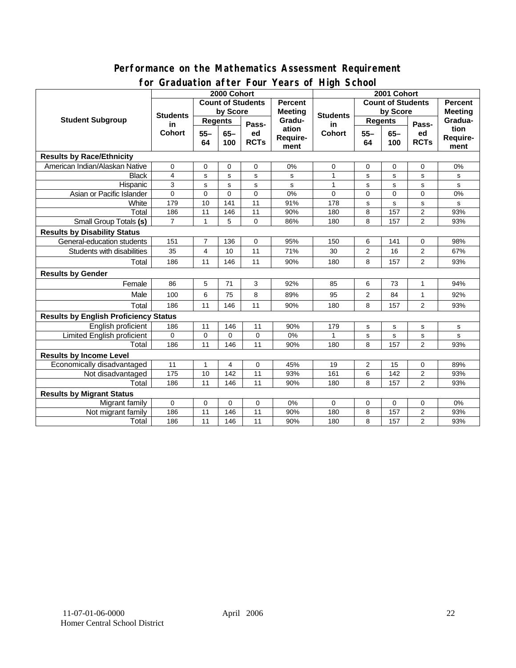#### **Performance on the Mathematics Assessment Requirement for Graduation after Four Years of High School**

|                                              | 21 aaaactoo ah corregi<br>2000 Cohort |                         |          |             |                   | $1$ can $3$ or $1$ ingit control<br>2001 Cohort |                          |             |                         |                |
|----------------------------------------------|---------------------------------------|-------------------------|----------|-------------|-------------------|-------------------------------------------------|--------------------------|-------------|-------------------------|----------------|
| <b>Student Subgroup</b>                      | <b>Count of Students</b>              |                         |          |             | Percent           |                                                 | <b>Count of Students</b> |             |                         | <b>Percent</b> |
|                                              | <b>Students</b><br>in.<br>Cohort      | by Score                |          |             | <b>Meeting</b>    |                                                 | by Score                 |             |                         | <b>Meeting</b> |
|                                              |                                       | <b>Regents</b>          |          |             | Gradu-            | <b>Students</b>                                 | <b>Regents</b>           |             |                         | Gradua-        |
|                                              |                                       | $55 -$                  | $65 -$   | Pass-<br>ed | ation<br>Require- | in<br><b>Cohort</b>                             | $55 -$                   | $65-$       | Pass-<br>ed             | tion           |
|                                              |                                       | 64                      | 100      | <b>RCTs</b> |                   |                                                 | 64                       | 100         | <b>RCTs</b>             | Require-       |
|                                              |                                       |                         |          | ment        |                   |                                                 |                          |             | ment                    |                |
| <b>Results by Race/Ethnicity</b>             |                                       |                         |          |             |                   |                                                 |                          |             |                         |                |
| American Indian/Alaskan Native               | 0                                     | 0                       | 0        | 0           | 0%                | 0                                               | 0                        | 0           | $\mathbf 0$             | 0%             |
| <b>Black</b>                                 | $\overline{4}$                        | s                       | s        | s           | s                 | $\mathbf{1}$                                    | s                        | s           | s                       | s              |
| Hispanic                                     | 3                                     | s                       | s        | s           | s                 | 1                                               | s                        | s           | s                       | $\mathbf{s}$   |
| Asian or Pacific Islander                    | $\Omega$                              | $\Omega$                | $\Omega$ | $\Omega$    | 0%                | $\Omega$                                        | $\Omega$                 | $\Omega$    | $\Omega$                | 0%             |
| White                                        | 179                                   | 10                      | 141      | 11          | 91%               | 178                                             | s                        | s           | s                       | s              |
| Total                                        | 186                                   | 11                      | 146      | 11          | 90%               | 180                                             | 8                        | 157         | $\overline{2}$          | 93%            |
| Small Group Totals (s)                       | $\overline{7}$                        | 1                       | 5        | 0           | 86%               | 180                                             | 8                        | 157         | $\overline{2}$          | 93%            |
| <b>Results by Disability Status</b>          |                                       |                         |          |             |                   |                                                 |                          |             |                         |                |
| General-education students                   | 151                                   | $\overline{7}$          | 136      | 0           | 95%               | 150                                             | 6                        | 141         | 0                       | 98%            |
| Students with disabilities                   | 35                                    | $\overline{\mathbf{4}}$ | 10       | 11          | 71%               | 30                                              | 2                        | 16          | 2                       | 67%            |
| Total                                        | 186                                   | 11                      | 146      | 11          | 90%               | 180                                             | 8                        | 157         | $\overline{2}$          | 93%            |
| <b>Results by Gender</b>                     |                                       |                         |          |             |                   |                                                 |                          |             |                         |                |
| Female                                       | 86                                    | 5                       | 71       | 3           | 92%               | 85                                              | 6                        | 73          | $\mathbf{1}$            | 94%            |
| Male                                         | 100                                   | 6                       | 75       | 8           | 89%               | 95                                              | 2                        | 84          | $\mathbf{1}$            | 92%            |
| Total                                        | 186                                   | 11                      | 146      | 11          | 90%               | 180                                             | 8                        | 157         | $\overline{2}$          | 93%            |
| <b>Results by English Proficiency Status</b> |                                       |                         |          |             |                   |                                                 |                          |             |                         |                |
| English proficient                           | 186                                   | 11                      | 146      | 11          | 90%               | 179                                             | s                        | $\mathbf s$ | s                       | s              |
| <b>Limited English proficient</b>            | $\overline{0}$                        | $\mathbf 0$             | $\Omega$ | 0           | $0\%$             | 1                                               | s                        | $\mathbf s$ | s                       | s              |
| Total                                        | 186                                   | 11                      | 146      | 11          | 90%               | 180                                             | 8                        | 157         | $\overline{2}$          | 93%            |
| <b>Results by Income Level</b>               |                                       |                         |          |             |                   |                                                 |                          |             |                         |                |
| Economically disadvantaged                   | 11                                    | 1                       | 4        | 0           | 45%               | 19                                              | $\overline{2}$           | 15          | 0                       | 89%            |
| Not disadvantaged                            | 175                                   | 10                      | 142      | 11          | 93%               | 161                                             | 6                        | 142         | $\overline{\mathbf{c}}$ | 93%            |
| Total                                        | 186                                   | 11                      | 146      | 11          | 90%               | 180                                             | 8                        | 157         | $\overline{2}$          | 93%            |
| <b>Results by Migrant Status</b>             |                                       |                         |          |             |                   |                                                 |                          |             |                         |                |
| Migrant family                               | 0                                     | 0                       | 0        | 0           | 0%                | 0                                               | 0                        | 0           | 0                       | 0%             |
| Not migrant family                           | 186                                   | 11                      | 146      | 11          | 90%               | 180                                             | 8                        | 157         | $\overline{2}$          | 93%            |
| Total                                        | 186                                   | 11                      | 146      | 11          | 90%               | 180                                             | 8                        | 157         | 2                       | 93%            |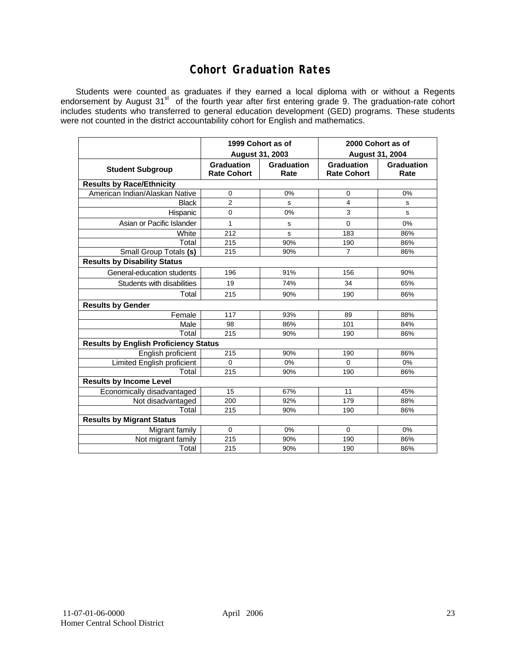### **Cohort Graduation Rates**

Students were counted as graduates if they earned a local diploma with or without a Regents endorsement by August 31<sup>st</sup> of the fourth year after first entering grade 9. The graduation-rate cohort includes students who transferred to general education development (GED) programs. These students were not counted in the district accountability cohort for English and mathematics.

|                                              | 1999 Cohort as of<br>August 31, 2003    |                    | 2000 Cohort as of<br><b>August 31, 2004</b> |                    |  |  |  |  |  |  |
|----------------------------------------------|-----------------------------------------|--------------------|---------------------------------------------|--------------------|--|--|--|--|--|--|
| <b>Student Subgroup</b>                      | <b>Graduation</b><br><b>Rate Cohort</b> | Graduation<br>Rate | <b>Graduation</b><br><b>Rate Cohort</b>     | Graduation<br>Rate |  |  |  |  |  |  |
| <b>Results by Race/Ethnicity</b>             |                                         |                    |                                             |                    |  |  |  |  |  |  |
| American Indian/Alaskan Native               | 0                                       | 0%                 | 0                                           | 0%                 |  |  |  |  |  |  |
| <b>Black</b>                                 | $\overline{2}$                          | s                  | 4                                           | s                  |  |  |  |  |  |  |
| Hispanic                                     | 0                                       | 0%                 | 3                                           | s                  |  |  |  |  |  |  |
| Asian or Pacific Islander                    | 1                                       | s                  | 0                                           | 0%                 |  |  |  |  |  |  |
| White                                        | 212                                     | s                  | 183                                         | 86%                |  |  |  |  |  |  |
| Total                                        | 215                                     | 90%                | 190                                         | 86%                |  |  |  |  |  |  |
| Small Group Totals (s)                       | 215                                     | 90%                | $\overline{7}$                              | 86%                |  |  |  |  |  |  |
| <b>Results by Disability Status</b>          |                                         |                    |                                             |                    |  |  |  |  |  |  |
| General-education students                   | 196                                     | 91%                | 156                                         | 90%                |  |  |  |  |  |  |
| Students with disabilities                   | 19                                      | 74%                | 34                                          | 65%                |  |  |  |  |  |  |
| Total                                        | 215                                     | 90%                | 190                                         | 86%                |  |  |  |  |  |  |
| <b>Results by Gender</b>                     |                                         |                    |                                             |                    |  |  |  |  |  |  |
| Female                                       | 117                                     | 93%                | 89                                          | 88%                |  |  |  |  |  |  |
| Male                                         | 98                                      | 86%                | 101                                         | 84%                |  |  |  |  |  |  |
| Total                                        | 215                                     | 90%                | 190                                         | 86%                |  |  |  |  |  |  |
| <b>Results by English Proficiency Status</b> |                                         |                    |                                             |                    |  |  |  |  |  |  |
| English proficient                           | 215                                     | 90%                | 190                                         | 86%                |  |  |  |  |  |  |
| Limited English proficient                   | $\Omega$                                | 0%                 | $\Omega$                                    | 0%                 |  |  |  |  |  |  |
| Total                                        | 215                                     | 90%                | 190                                         | 86%                |  |  |  |  |  |  |
| <b>Results by Income Level</b>               |                                         |                    |                                             |                    |  |  |  |  |  |  |
| Economically disadvantaged                   | 15                                      | 67%                | 11                                          | 45%                |  |  |  |  |  |  |
| Not disadvantaged                            | 200                                     | 92%                | 179                                         | 88%                |  |  |  |  |  |  |
| Total                                        | 215                                     | 90%                | 190                                         | 86%                |  |  |  |  |  |  |
| <b>Results by Migrant Status</b>             |                                         |                    |                                             |                    |  |  |  |  |  |  |
| Migrant family                               | $\Omega$                                | 0%                 | $\Omega$                                    | 0%                 |  |  |  |  |  |  |
| Not migrant family                           | 215                                     | 90%                | 190                                         | 86%                |  |  |  |  |  |  |
| Total                                        | 215                                     | 90%                | 190                                         | 86%                |  |  |  |  |  |  |